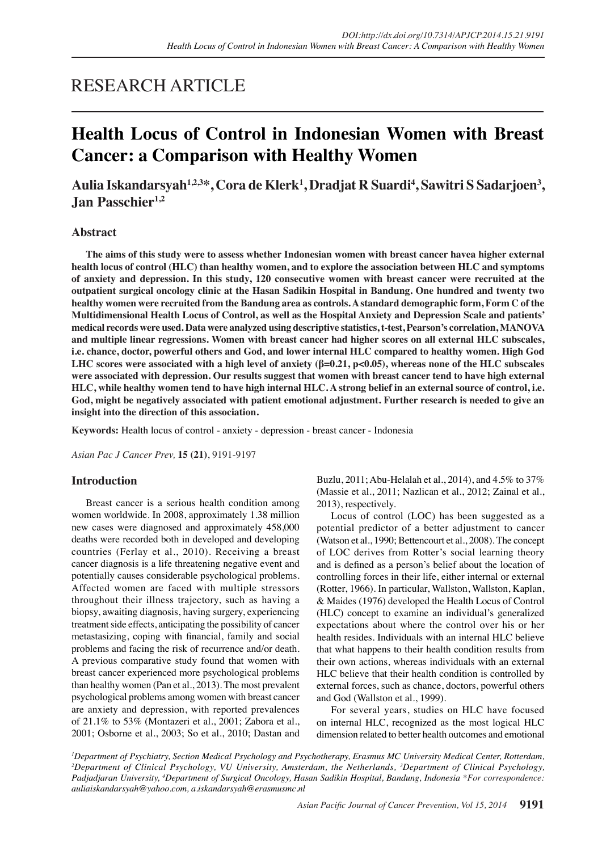# RESEARCH ARTICLE

# **Health Locus of Control in Indonesian Women with Breast Cancer: a Comparison with Healthy Women**

Aulia Iskandarsyah<sup>1,2,3</sup>\*, Cora de Klerk<sup>1</sup>, Dradjat R Suardi<sup>4</sup>, Sawitri S Sadarjoen<sup>3</sup>, **Jan Passchier**<sup>1,2</sup>

# **Abstract**

**The aims of this study were to assess whether Indonesian women with breast cancer havea higher external health locus of control (HLC) than healthy women, and to explore the association between HLC and symptoms of anxiety and depression. In this study, 120 consecutive women with breast cancer were recruited at the outpatient surgical oncology clinic at the Hasan Sadikin Hospital in Bandung. One hundred and twenty two healthy women were recruited from the Bandung area as controls. A standard demographic form, Form C of the Multidimensional Health Locus of Control, as well as the Hospital Anxiety and Depression Scale and patients' medical records were used. Data were analyzed using descriptive statistics, t-test, Pearson's correlation, MANOVA and multiple linear regressions. Women with breast cancer had higher scores on all external HLC subscales, i.e. chance, doctor, powerful others and God, and lower internal HLC compared to healthy women. High God LHC scores were associated with a high level of anxiety (β=0.21, p<0.05), whereas none of the HLC subscales were associated with depression. Our results suggest that women with breast cancer tend to have high external HLC, while healthy women tend to have high internal HLC. A strong belief in an external source of control, i.e. God, might be negatively associated with patient emotional adjustment. Further research is needed to give an insight into the direction of this association.**

**Keywords:** Health locus of control - anxiety - depression - breast cancer - Indonesia

*Asian Pac J Cancer Prev,* **15 (21)**, 9191-9197

## **Introduction**

Breast cancer is a serious health condition among women worldwide. In 2008, approximately 1.38 million new cases were diagnosed and approximately 458,000 deaths were recorded both in developed and developing countries (Ferlay et al., 2010). Receiving a breast cancer diagnosis is a life threatening negative event and potentially causes considerable psychological problems. Affected women are faced with multiple stressors throughout their illness trajectory, such as having a biopsy, awaiting diagnosis, having surgery, experiencing treatment side effects, anticipating the possibility of cancer metastasizing, coping with financial, family and social problems and facing the risk of recurrence and/or death. A previous comparative study found that women with breast cancer experienced more psychological problems than healthy women (Pan et al., 2013). The most prevalent psychological problems among women with breast cancer are anxiety and depression, with reported prevalences of 21.1% to 53% (Montazeri et al., 2001; Zabora et al., 2001; Osborne et al., 2003; So et al., 2010; Dastan and Buzlu, 2011; Abu-Helalah et al., 2014), and 4.5% to 37% (Massie et al., 2011; Nazlican et al., 2012; Zainal et al., 2013), respectively.

Locus of control (LOC) has been suggested as a potential predictor of a better adjustment to cancer (Watson et al., 1990; Bettencourt et al., 2008). The concept of LOC derives from Rotter's social learning theory and is defined as a person's belief about the location of controlling forces in their life, either internal or external (Rotter, 1966). In particular, Wallston, Wallston, Kaplan, & Maides (1976) developed the Health Locus of Control (HLC) concept to examine an individual's generalized expectations about where the control over his or her health resides. Individuals with an internal HLC believe that what happens to their health condition results from their own actions, whereas individuals with an external HLC believe that their health condition is controlled by external forces, such as chance, doctors, powerful others and God (Wallston et al., 1999).

For several years, studies on HLC have focused on internal HLC, recognized as the most logical HLC dimension related to better health outcomes and emotional

<sup>1</sup>Department of Psychiatry, Section Medical Psychology and Psychotherapy, Erasmus MC University Medical Center, Rotterdam, *2 Department of Clinical Psychology, VU University, Amsterdam, the Netherlands, 3 Department of Clinical Psychology, Padjadjaran University, 4 Department of Surgical Oncology, Hasan Sadikin Hospital, Bandung, Indonesia \*For correspondence: auliaiskandarsyah@yahoo.com, a.iskandarsyah@erasmusmc.nl*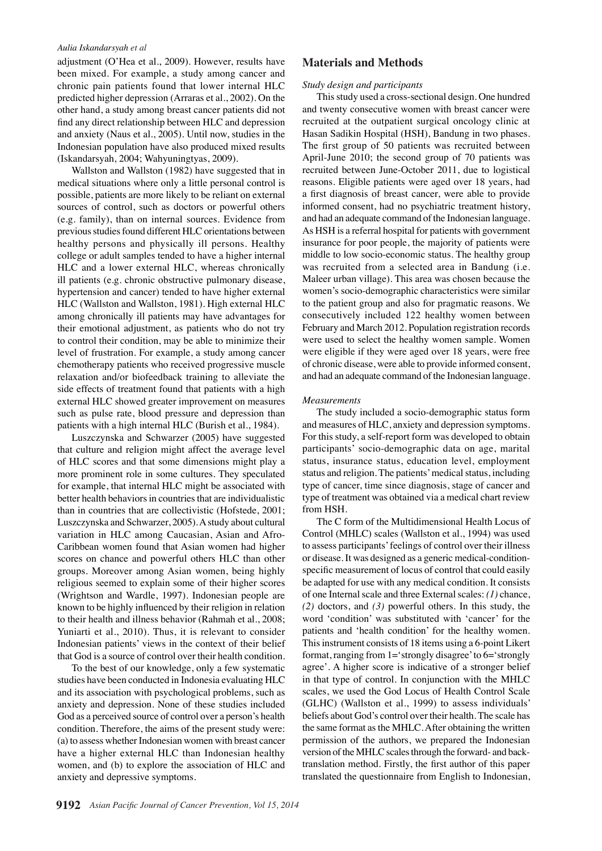#### *Aulia Iskandarsyah et al*

adjustment (O'Hea et al., 2009). However, results have been mixed. For example, a study among cancer and chronic pain patients found that lower internal HLC predicted higher depression (Arraras et al., 2002). On the other hand, a study among breast cancer patients did not find any direct relationship between HLC and depression and anxiety (Naus et al., 2005). Until now, studies in the Indonesian population have also produced mixed results (Iskandarsyah, 2004; Wahyuningtyas, 2009).

Wallston and Wallston (1982) have suggested that in medical situations where only a little personal control is possible, patients are more likely to be reliant on external sources of control, such as doctors or powerful others (e.g. family), than on internal sources. Evidence from previous studies found different HLC orientations between healthy persons and physically ill persons. Healthy college or adult samples tended to have a higher internal HLC and a lower external HLC, whereas chronically ill patients (e.g. chronic obstructive pulmonary disease, hypertension and cancer) tended to have higher external HLC (Wallston and Wallston, 1981). High external HLC among chronically ill patients may have advantages for their emotional adjustment, as patients who do not try to control their condition, may be able to minimize their level of frustration. For example, a study among cancer chemotherapy patients who received progressive muscle relaxation and/or biofeedback training to alleviate the side effects of treatment found that patients with a high external HLC showed greater improvement on measures such as pulse rate, blood pressure and depression than patients with a high internal HLC (Burish et al., 1984).

Luszczynska and Schwarzer (2005) have suggested that culture and religion might affect the average level of HLC scores and that some dimensions might play a more prominent role in some cultures. They speculated for example, that internal HLC might be associated with better health behaviors in countries that are individualistic than in countries that are collectivistic (Hofstede, 2001; Luszczynska and Schwarzer, 2005). A study about cultural variation in HLC among Caucasian, Asian and Afro-Caribbean women found that Asian women had higher scores on chance and powerful others HLC than other groups. Moreover among Asian women, being highly religious seemed to explain some of their higher scores (Wrightson and Wardle, 1997). Indonesian people are known to be highly influenced by their religion in relation to their health and illness behavior (Rahmah et al., 2008; Yuniarti et al., 2010). Thus, it is relevant to consider Indonesian patients' views in the context of their belief that God is a source of control over their health condition.

To the best of our knowledge, only a few systematic studies have been conducted in Indonesia evaluating HLC and its association with psychological problems, such as anxiety and depression. None of these studies included God as a perceived source of control over a person's health condition. Therefore, the aims of the present study were: (a) to assess whether Indonesian women with breast cancer have a higher external HLC than Indonesian healthy women, and (b) to explore the association of HLC and anxiety and depressive symptoms.

**Materials and Methods**

*Study design and participants*

Hasan Sadikin Hospital (HSH), Bandung in two phases. The first group of 50 patients was recruited between April-June 2010; the second group of 70 patients was recruited between June-October 2011, due to logistical reasons. Eligible patients were aged over 18 years, had a first diagnosis of breast cancer, were able to provide informed consent, had no psychiatric treatment history, and had an adequate command of the Indonesian language. As HSH is a referral hospital for patients with government insurance for poor people, the majority of patients were middle to low socio-economic status. The healthy group was recruited from a selected area in Bandung (i.e. Maleer urban village). This area was chosen because the women's socio-demographic characteristics were similar to the patient group and also for pragmatic reasons. We consecutively included 122 healthy women between February and March 2012. Population registration records were used to select the healthy women sample. Women were eligible if they were aged over 18 years, were free of chronic disease, were able to provide informed consent, and had an adequate command of the Indonesian language.

This study used a cross-sectional design. One hundred and twenty consecutive women with breast cancer were recruited at the outpatient surgical oncology clinic at

#### *Measurements*

The study included a socio-demographic status form and measures of HLC, anxiety and depression symptoms. For this study, a self-report form was developed to obtain participants' socio-demographic data on age, marital status, insurance status, education level, employment status and religion. The patients' medical status, including type of cancer, time since diagnosis, stage of cancer and type of treatment was obtained via a medical chart review from HSH.

The C form of the Multidimensional Health Locus of Control (MHLC) scales (Wallston et al., 1994) was used to assess participants' feelings of control over their illness or disease. It was designed as a generic medical-conditionspecific measurement of locus of control that could easily be adapted for use with any medical condition. It consists of one Internal scale and three External scales: *(1)* chance, *(2)* doctors, and *(3)* powerful others. In this study, the word 'condition' was substituted with 'cancer' for the patients and 'health condition' for the healthy women. This instrument consists of 18 items using a 6-point Likert format, ranging from 1='strongly disagree' to 6='strongly agree'. A higher score is indicative of a stronger belief in that type of control. In conjunction with the MHLC scales, we used the God Locus of Health Control Scale (GLHC) (Wallston et al., 1999) to assess individuals' beliefs about God's control over their health. The scale has the same format as the MHLC. After obtaining the written permission of the authors, we prepared the Indonesian version of the MHLC scales through the forward- and backtranslation method. Firstly, the first author of this paper translated the questionnaire from English to Indonesian,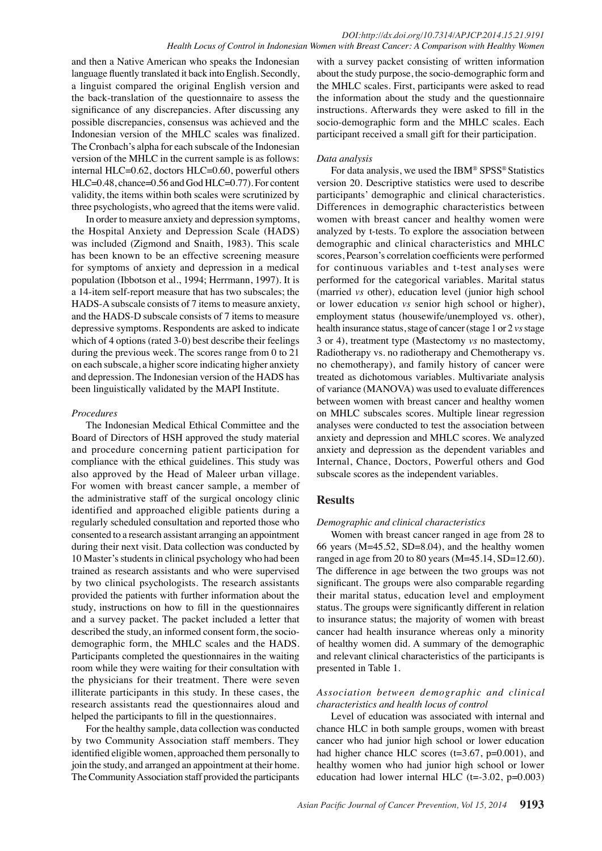and then a Native American who speaks the Indonesian language fluently translated it back into English. Secondly, a linguist compared the original English version and the back-translation of the questionnaire to assess the significance of any discrepancies. After discussing any possible discrepancies, consensus was achieved and the Indonesian version of the MHLC scales was finalized. The Cronbach's alpha for each subscale of the Indonesian version of the MHLC in the current sample is as follows: internal HLC=0.62, doctors HLC=0.60, powerful others HLC=0.48, chance=0.56 and God HLC=0.77). For content validity, the items within both scales were scrutinized by three psychologists, who agreed that the items were valid.

In order to measure anxiety and depression symptoms, the Hospital Anxiety and Depression Scale (HADS) was included (Zigmond and Snaith, 1983). This scale has been known to be an effective screening measure for symptoms of anxiety and depression in a medical population (Ibbotson et al., 1994; Herrmann, 1997). It is a 14-item self-report measure that has two subscales; the HADS-A subscale consists of 7 items to measure anxiety, and the HADS-D subscale consists of 7 items to measure depressive symptoms. Respondents are asked to indicate which of 4 options (rated 3-0) best describe their feelings during the previous week. The scores range from 0 to 21 on each subscale, a higher score indicating higher anxiety and depression. The Indonesian version of the HADS has been linguistically validated by the MAPI Institute.

#### *Procedures*

The Indonesian Medical Ethical Committee and the Board of Directors of HSH approved the study material and procedure concerning patient participation for compliance with the ethical guidelines. This study was also approved by the Head of Maleer urban village. For women with breast cancer sample, a member of the administrative staff of the surgical oncology clinic identified and approached eligible patients during a regularly scheduled consultation and reported those who consented to a research assistant arranging an appointment during their next visit. Data collection was conducted by 10 Master's students in clinical psychology who had been trained as research assistants and who were supervised by two clinical psychologists. The research assistants provided the patients with further information about the study, instructions on how to fill in the questionnaires and a survey packet. The packet included a letter that described the study, an informed consent form, the sociodemographic form, the MHLC scales and the HADS. Participants completed the questionnaires in the waiting room while they were waiting for their consultation with the physicians for their treatment. There were seven illiterate participants in this study. In these cases, the research assistants read the questionnaires aloud and helped the participants to fill in the questionnaires.

For the healthy sample, data collection was conducted by two Community Association staff members. They identified eligible women, approached them personally to join the study, and arranged an appointment at their home. The Community Association staff provided the participants

with a survey packet consisting of written information about the study purpose, the socio-demographic form and the MHLC scales. First, participants were asked to read the information about the study and the questionnaire instructions. Afterwards they were asked to fill in the socio-demographic form and the MHLC scales. Each participant received a small gift for their participation.

#### *Data analysis*

For data analysis, we used the IBM® SPSS® Statistics version 20. Descriptive statistics were used to describe participants' demographic and clinical characteristics. Differences in demographic characteristics between women with breast cancer and healthy women were analyzed by t-tests. To explore the association between demographic and clinical characteristics and MHLC scores, Pearson's correlation coefficients were performed for continuous variables and t-test analyses were performed for the categorical variables. Marital status (married *vs* other), education level (junior high school or lower education *vs* senior high school or higher), employment status (housewife/unemployed vs. other), health insurance status, stage of cancer (stage 1 or 2 *vs* stage 3 or 4), treatment type (Mastectomy *vs* no mastectomy, Radiotherapy vs. no radiotherapy and Chemotherapy vs. no chemotherapy), and family history of cancer were treated as dichotomous variables. Multivariate analysis of variance (MANOVA) was used to evaluate differences between women with breast cancer and healthy women on MHLC subscales scores. Multiple linear regression analyses were conducted to test the association between anxiety and depression and MHLC scores. We analyzed anxiety and depression as the dependent variables and Internal, Chance, Doctors, Powerful others and God subscale scores as the independent variables.

# **Results**

## *Demographic and clinical characteristics*

Women with breast cancer ranged in age from 28 to 66 years (M=45.52, SD=8.04), and the healthy women ranged in age from 20 to 80 years  $(M=45.14, SD=12.60)$ . The difference in age between the two groups was not significant. The groups were also comparable regarding their marital status, education level and employment status. The groups were significantly different in relation to insurance status; the majority of women with breast cancer had health insurance whereas only a minority of healthy women did. A summary of the demographic and relevant clinical characteristics of the participants is presented in Table 1.

## *Association between demographic and clinical characteristics and health locus of control*

Level of education was associated with internal and chance HLC in both sample groups, women with breast cancer who had junior high school or lower education had higher chance HLC scores (t=3.67, p=0.001), and healthy women who had junior high school or lower education had lower internal HLC  $(t=.3.02, p=.0.003)$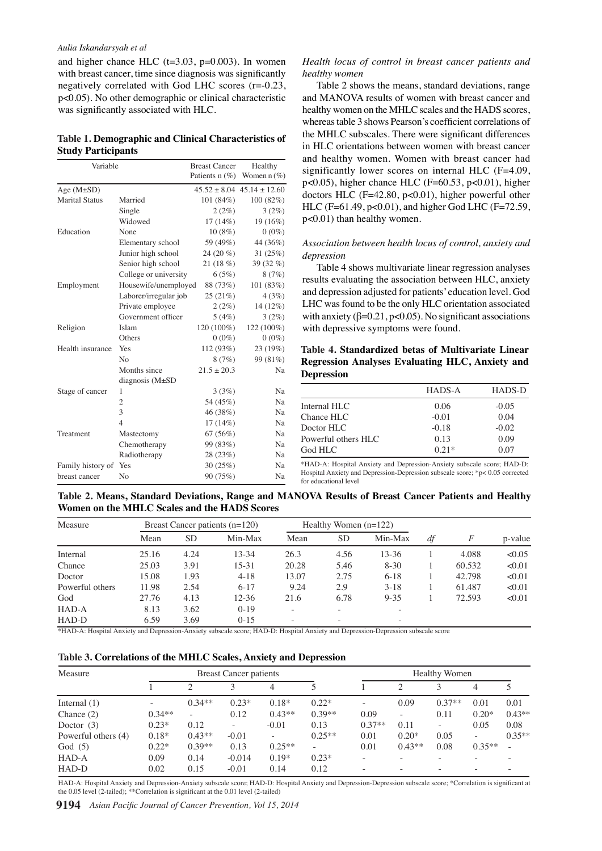#### *Aulia Iskandarsyah et al*

and higher chance HLC  $(t=3.03, p=0.003)$ . In women with breast cancer, time since diagnosis was significantly negatively correlated with God LHC scores (r=-0.23, p<0.05). No other demographic or clinical characteristic was significantly associated with HLC.

| Table 1. Demographic and Clinical Characteristics of |  |
|------------------------------------------------------|--|
| <b>Study Participants</b>                            |  |

| Variable              |                        | <b>Breast Cancer</b> | Healthy                            | allu 1                     |
|-----------------------|------------------------|----------------------|------------------------------------|----------------------------|
|                       |                        | Patients $n$ (%)     | Women $n$ (%)                      | signi                      |
| Age $(M\pm SD)$       |                        |                      | $45.52 \pm 8.04$ $45.14 \pm 12.60$ | p<0.0                      |
| <b>Marital Status</b> | Married                | 101(84%)             | 100(82%)                           | docto                      |
|                       | Single                 | 2(2%)                | 3(2%)                              | HLC                        |
|                       | Widowed                | $17(14\%)$           | 19 (16%)                           | p<0.0                      |
| Education             | None                   | $10(8\%)$            | $0(0\%)$                           |                            |
|                       | Elementary school      | 59 (49%)             | 44 (36%)                           | Assoc                      |
|                       | Junior high school     | 24 $(20\%$           | 31(25%)                            | 00.N <sup>depre</sup>      |
|                       | Senior high school     | 21(18%)              | 39 $(32\%$                         | T                          |
|                       | College or university  | 6(5%)                | 8(7%)                              | result                     |
| Employment            | Housewife/unemployed   | 88 (73%)             | 101 (83%)                          |                            |
|                       | Laborer/irregular job  | 25(21%)              | $4(3%)$ .                          | and d                      |
|                       | Private employee       | 2(2%)                | 14 (12%)                           | $\mathbf{q}_{\mathrm{HC}}$ |
|                       | Government officer     | 5(4%)                | 3(2%)                              | with a                     |
| Religion              | Islam                  | 120 (100%)           | 122 (100%)                         | with (                     |
|                       | Others                 | $0(0\%)$             | $^{(0(0\%)}$ 50                    |                            |
| Health insurance      | Yes                    | 112 (93%)            | 23 (19%)                           | Table                      |
|                       | N <sub>o</sub>         | 8(7%)                | 99 (81%)                           | Regre                      |
|                       | Months since           | $21.5 \pm 20.3$      | Na                                 | <b>Depro</b>               |
|                       | diagnosis $(M \pm SD)$ |                      |                                    | 25.0                       |
| Stage of cancer       | 1                      | 3(3%)                | Na                                 |                            |
|                       | 2                      | 54 (45%)             | Na                                 | Interna                    |
|                       | 3                      | 46 (38%)             | Na                                 | Chanc                      |
|                       | $\overline{4}$         | $17(14\%)$           | Na                                 | <b>Docto</b>               |
| Treatment             | Mastectomy             | 67(56%)              | Na                                 |                            |
|                       | Chemotherapy           | 99 (83%)             | Na                                 | Power                      |
|                       | Radiotherapy           | 28 (23%)             | Na                                 | God H                      |
| Family history of Yes |                        | 30(25%)              | Na                                 | $*HAD-1$                   |
|                       |                        |                      |                                    |                            |

## *Health locus of control in breast cancer patients and healthy women*

Table 2 shows the means, standard deviations, range and MANOVA results of women with breast cancer and healthy women on the MHLC scales and the HADS scores, whereas table 3 shows Pearson's coefficient correlations of the MHLC subscales. There were significant differences in HLC orientations between women with breast cancer and healthy women. Women with breast cancer had ficantly lower scores on internal HLC  $(F=4.09,$ 05), higher chance HLC (F= $60.53$ , p<0.01), higher ors HLC (F=42.80,  $p<0.01$ ), higher powerful other  $(F=61.49, p<0.01)$ , and higher God LHC (F=72.59, 01) than healthy women.

*Association between health locus of control, anxiety and depression*

| %)        | 39 (32 $\%$ )       | Table 4 shows multiyari                                                       |       |      |      |               |                 |       | ar regression analyses                             |      |              |
|-----------|---------------------|-------------------------------------------------------------------------------|-------|------|------|---------------|-----------------|-------|----------------------------------------------------|------|--------------|
| $\%$      | 8(7%)               | 6.3                                                                           |       | 10.1 |      | 20.3          |                 |       | between $H_{LC}$ , anxiety                         |      | 12.8         |
| $\%$      | 101(83%)            | results                                                                       | ting  |      | soc: |               |                 |       |                                                    |      |              |
| $\%$      |                     | and der<br>$4(3\%)$ 75.0 HC w                                                 | h ad  |      | tor  |               | k'ed            |       | n level. God                                       |      |              |
| $\%$      | 14 (12%)            |                                                                               | ld td |      | onl  |               | ori             | 25.0  | n associated                                       | 30.0 |              |
| $\%$      | 3(2%)               | with an                                                                       | B=0l  |      | 0.01 |               | ign             |       | associations                                       |      |              |
| $\%$      | 122 (100%)          | with $de$ 56.3                                                                | ze sl | 46.8 | ms   |               | ⊧und            |       |                                                    |      | 51.1         |
| $\%$      | $^{0.0\%}$ 50.0     |                                                                               |       |      |      | 54.2          |                 |       |                                                    |      |              |
| $\%$      | 23 $(19%)$          |                                                                               |       |      |      |               |                 |       | Table 4. Standardized betas of Multitariate Linear | 30.0 |              |
| $\%$      | 99 (81%)            | Regression Analyses Evaluating HLC, Anxiety and                               |       |      |      |               |                 |       |                                                    |      |              |
| 0.3       | Na                  | Depression                                                                    |       |      |      |               |                 |       |                                                    |      |              |
| $\%$      | $_{\text{Na}}$ 25.0 |                                                                               |       |      |      |               | <b>HADS-A</b>   |       | HADS-D                                             |      |              |
| $\%$      | Na                  |                                                                               |       | 38.0 |      |               |                 | 31.3  |                                                    | 30.0 | 33.1         |
| %)        | Na                  | Internal HLC <sup>3</sup>                                                     |       |      |      | 23.70106      |                 |       | $-0.05$                                            |      |              |
| $\%$      | Na                  | Chance HLC                                                                    |       |      |      |               | $-0.01$         |       | 0.04                                               |      |              |
| $\%$      | Na                  | <b>O</b> octor HLC                                                            |       |      |      |               | $-0.18$         |       | $-0.02$                                            |      |              |
| $\%$      | Na                  | Powerful others HLC                                                           |       |      |      | <b>g</b> 0.13 |                 |       | 0.09                                               | None |              |
| $\%$      | Na                  | God HLC                                                                       |       |      |      |               | $\bar{6}$ 0.21* | ssion | 0.07                                               |      | Chemotherapy |
| $\%$      | Na                  | *HAD-A: Hosotal Anxiety and Depression Anxiety submale score; HAD-D:          |       |      |      |               |                 |       |                                                    |      |              |
| $\%$      | Na                  | Hospital Anxiery and Depression-Depression-subscale score; *p< 0.05 corrected |       |      |      |               |                 |       |                                                    |      |              |
|           |                     | for educational revel                                                         |       |      |      |               |                 |       |                                                    |      |              |
|           |                     | Range and MANOVA Resilts of Breast Cancer Patients and Healthy                |       |      |      |               |                 |       |                                                    |      |              |
|           | <b>IADS Scores</b>  |                                                                               |       |      |      |               |                 |       |                                                    |      |              |
| $(n-120)$ |                     | Healthy Wanen $(n-1)\frac{m}{2}$                                              |       |      |      |               |                 |       |                                                    |      |              |

Table 2. Means, Standard Deviations, Range and MANOVA Results of Breast Cancer Patients and Healthy **Women on the MHLC Scales and the HADS Scores** g  $\mathcal{B}$ 

| Family history of Yes<br>breast cancer                                                                          | Chemotherapy<br>Radiotherapy<br>No.          |           | 99 (83%)<br>28(23%)<br>30(25%)<br>90(75%) | Na<br>Na<br>Na<br>Na | Powerful others HLC<br>God HLC<br>for educational revel | *HAD-A: Hoshtal Anxiety and Depression Anxiety subspale score; HAD-D:<br>Hospital Anxiety and Depression-Depression-subscale score; *p< $0.05$ corrected | $R_{0.13}$<br>$\overline{5}$ $0.21*$ | ัติ              | 0.09<br>0.07 |
|-----------------------------------------------------------------------------------------------------------------|----------------------------------------------|-----------|-------------------------------------------|----------------------|---------------------------------------------------------|----------------------------------------------------------------------------------------------------------------------------------------------------------|--------------------------------------|------------------|--------------|
| Table 2. Means, Standard Deviations, Range and MANOVA Restriss of Breast Cancer Patients and Healthy<br>Measure | Women on the MHLC Scales and the HADS Scores |           | Breast Cancer patients $(n=120)$          |                      | Healthy Wonney ( $n=12\frac{m}{2}$ )                    |                                                                                                                                                          | ᅹ                                    |                  |              |
|                                                                                                                 | Mean                                         | <b>SD</b> | Min-Max                                   | Mean                 | SЬ                                                      | $M\mathbf{B}$ -Max                                                                                                                                       | df                                   | $\boldsymbol{F}$ | p-value      |
| Internal                                                                                                        | 25.16                                        | 4.24      | $13 - 34$                                 | 26.3                 | $4\frac{2}{36}$                                         | $1\overline{3} - 36$                                                                                                                                     |                                      | 4.088            | <0.05        |
| Chance                                                                                                          | 25.03                                        | 3.91      | 15-31                                     | 20.28                | $5\frac{4}{6}$                                          | $8 - 30$                                                                                                                                                 |                                      | 60.532           | < 0.01       |
| Doctor                                                                                                          | 15.08                                        | 1.93      | $4 - 18$                                  | 13.07                | 2.75                                                    | $6 - 18$                                                                                                                                                 |                                      | 42.798           | < 0.01       |
| Powerful others                                                                                                 | 11.98                                        | 2.54      | $6 - 17$                                  | 9.24                 | 2.9                                                     | $3 - 18$                                                                                                                                                 |                                      | 61.487           | < 0.01       |
| God                                                                                                             | 27.76                                        | 4.13      | $12 - 36$                                 | 21.6                 | 6.78                                                    | $9 - 35$                                                                                                                                                 |                                      | 72.593           | < 0.01       |
| HAD-A                                                                                                           | 8.13                                         | 3.62      | $0-19$                                    |                      |                                                         |                                                                                                                                                          |                                      |                  |              |
| HAD-D                                                                                                           | 6.59                                         | 3.69      | $0 - 15$                                  |                      |                                                         |                                                                                                                                                          |                                      |                  |              |

\*HAD-A: Hospital Anxiety and Depression-Anxiety subscale score; HAD-D: Hospital Anxiety and Depression-Depression subscale score

| Measure             |          |          | <b>Breast Cancer patients</b> |          | <b>Healthy Women</b>     |                          |                          |                          |                          |          |
|---------------------|----------|----------|-------------------------------|----------|--------------------------|--------------------------|--------------------------|--------------------------|--------------------------|----------|
|                     |          |          |                               | 4        |                          |                          | ↑                        | 3                        | 4                        |          |
| Internal $(1)$      |          | $0.34**$ | $0.23*$                       | $0.18*$  | $0.22*$                  | $\overline{\phantom{a}}$ | 0.09                     | $0.37**$                 | 0.01                     | 0.01     |
| Chance $(2)$        | $0.34**$ | ٠        | 0.12                          | $0.43**$ | $0.39**$                 | 0.09                     | $\overline{\phantom{a}}$ | 0.11                     | $0.20*$                  | $0.43**$ |
| Doctor $(3)$        | $0.23*$  | 0.12     |                               | $-0.01$  | 0.13                     | $0.37**$                 | 0.11                     | $\overline{\phantom{a}}$ | 0.05                     | 0.08     |
| Powerful others (4) | $0.18*$  | $0.43**$ | $-0.01$                       | ۰        | $0.25**$                 | 0.01                     | $0.20*$                  | 0.05                     | $\overline{\phantom{m}}$ | $0.35**$ |
| God $(5)$           | $0.22*$  | $0.39**$ | 0.13                          | $0.25**$ | $\overline{\phantom{a}}$ | 0.01                     | $0.43**$                 | 0.08                     | $0.35**$                 |          |
| HAD-A               | 0.09     | 0.14     | $-0.014$                      | $0.19*$  | $0.23*$                  | -                        | $\overline{\phantom{a}}$ |                          |                          |          |
| HAD-D               | 0.02     | 0.15     | $-0.01$                       | 0.14     | 0.12                     | $\overline{\phantom{a}}$ |                          |                          |                          |          |

HAD-A: Hospital Anxiety and Depression-Anxiety subscale score; HAD-D: Hospital Anxiety and Depression-Depression subscale score; \*Correlation is significant at the 0.05 level (2-tailed); \*\*Correlation is significant at the 0.01 level (2-tailed)

**9194** *Asian Pacific Journal of Cancer Prevention, Vol 15, 2014*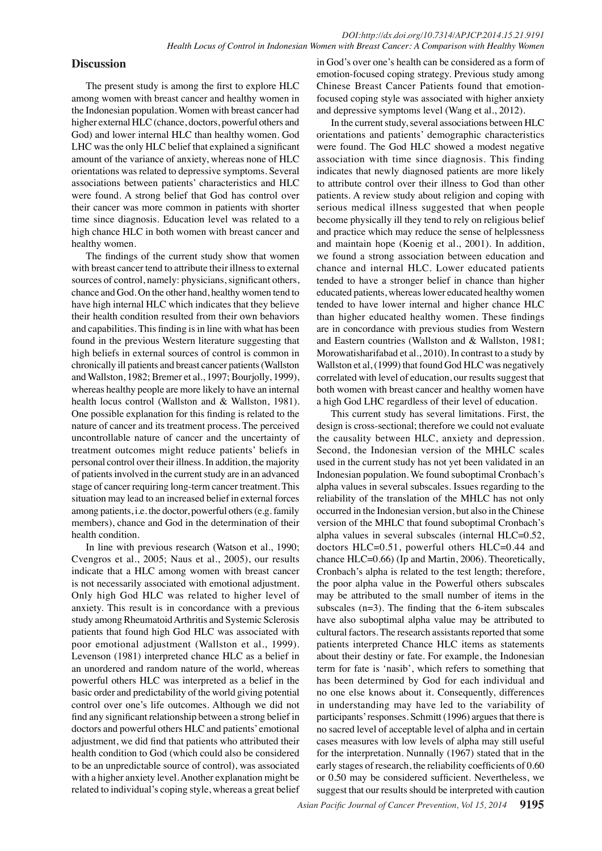# **Discussion**

The present study is among the first to explore HLC among women with breast cancer and healthy women in the Indonesian population. Women with breast cancer had higher external HLC (chance, doctors, powerful others and God) and lower internal HLC than healthy women. God LHC was the only HLC belief that explained a significant amount of the variance of anxiety, whereas none of HLC orientations was related to depressive symptoms. Several associations between patients' characteristics and HLC were found. A strong belief that God has control over their cancer was more common in patients with shorter time since diagnosis. Education level was related to a high chance HLC in both women with breast cancer and healthy women.

The findings of the current study show that women with breast cancer tend to attribute their illness to external sources of control, namely: physicians, significant others, chance and God. On the other hand, healthy women tend to have high internal HLC which indicates that they believe their health condition resulted from their own behaviors and capabilities. This finding is in line with what has been found in the previous Western literature suggesting that high beliefs in external sources of control is common in chronically ill patients and breast cancer patients (Wallston and Wallston, 1982; Bremer et al., 1997; Bourjolly, 1999), whereas healthy people are more likely to have an internal health locus control (Wallston and & Wallston, 1981). One possible explanation for this finding is related to the nature of cancer and its treatment process. The perceived uncontrollable nature of cancer and the uncertainty of treatment outcomes might reduce patients' beliefs in personal control over their illness. In addition, the majority of patients involved in the current study are in an advanced stage of cancer requiring long-term cancer treatment. This situation may lead to an increased belief in external forces among patients, i.e. the doctor, powerful others (e.g. family members), chance and God in the determination of their health condition.

In line with previous research (Watson et al., 1990; Cvengros et al., 2005; Naus et al., 2005), our results indicate that a HLC among women with breast cancer is not necessarily associated with emotional adjustment. Only high God HLC was related to higher level of anxiety. This result is in concordance with a previous study among Rheumatoid Arthritis and Systemic Sclerosis patients that found high God HLC was associated with poor emotional adjustment (Wallston et al., 1999). Levenson (1981) interpreted chance HLC as a belief in an unordered and random nature of the world, whereas powerful others HLC was interpreted as a belief in the basic order and predictability of the world giving potential control over one's life outcomes. Although we did not find any significant relationship between a strong belief in doctors and powerful others HLC and patients' emotional adjustment, we did find that patients who attributed their health condition to God (which could also be considered to be an unpredictable source of control), was associated with a higher anxiety level. Another explanation might be related to individual's coping style, whereas a great belief

in God's over one's health can be considered as a form of emotion-focused coping strategy. Previous study among Chinese Breast Cancer Patients found that emotionfocused coping style was associated with higher anxiety and depressive symptoms level (Wang et al., 2012).

In the current study, several associations between HLC orientations and patients' demographic characteristics were found. The God HLC showed a modest negative association with time since diagnosis. This finding indicates that newly diagnosed patients are more likely to attribute control over their illness to God than other patients. A review study about religion and coping with serious medical illness suggested that when people become physically ill they tend to rely on religious belief and practice which may reduce the sense of helplessness and maintain hope (Koenig et al., 2001). In addition, we found a strong association between education and chance and internal HLC. Lower educated patients tended to have a stronger belief in chance than higher educated patients, whereas lower educated healthy women tended to have lower internal and higher chance HLC than higher educated healthy women. These findings are in concordance with previous studies from Western and Eastern countries (Wallston and & Wallston, 1981; Morowatisharifabad et al., 2010). In contrast to a study by Wallston et al, (1999) that found God HLC was negatively correlated with level of education, our results suggest that both women with breast cancer and healthy women have a high God LHC regardless of their level of education.

This current study has several limitations. First, the design is cross-sectional; therefore we could not evaluate the causality between HLC, anxiety and depression. Second, the Indonesian version of the MHLC scales used in the current study has not yet been validated in an Indonesian population. We found suboptimal Cronbach's alpha values in several subscales. Issues regarding to the reliability of the translation of the MHLC has not only occurred in the Indonesian version, but also in the Chinese version of the MHLC that found suboptimal Cronbach's alpha values in several subscales (internal HLC=0.52, doctors HLC=0.51, powerful others HLC=0.44 and chance HLC=0.66) (Ip and Martin, 2006). Theoretically, Cronbach's alpha is related to the test length; therefore, the poor alpha value in the Powerful others subscales may be attributed to the small number of items in the subscales  $(n=3)$ . The finding that the 6-item subscales have also suboptimal alpha value may be attributed to cultural factors. The research assistants reported that some patients interpreted Chance HLC items as statements about their destiny or fate. For example, the Indonesian term for fate is 'nasib', which refers to something that has been determined by God for each individual and no one else knows about it. Consequently, differences in understanding may have led to the variability of participants' responses. Schmitt (1996) argues that there is no sacred level of acceptable level of alpha and in certain cases measures with low levels of alpha may still useful for the interpretation. Nunnally (1967) stated that in the early stages of research, the reliability coefficients of 0.60 or 0.50 may be considered sufficient. Nevertheless, we suggest that our results should be interpreted with caution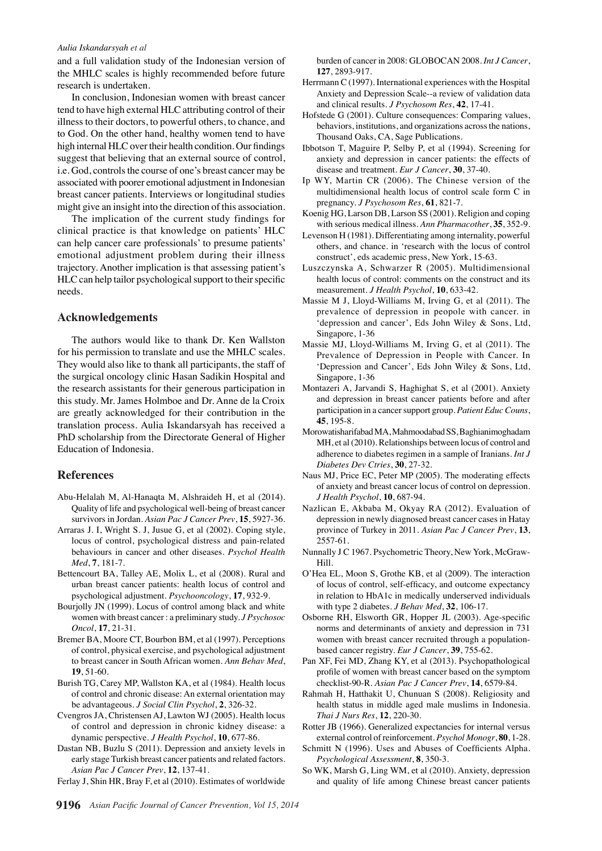#### *Aulia Iskandarsyah et al*

and a full validation study of the Indonesian version of the MHLC scales is highly recommended before future research is undertaken.

In conclusion, Indonesian women with breast cancer tend to have high external HLC attributing control of their illness to their doctors, to powerful others, to chance, and to God. On the other hand, healthy women tend to have high internal HLC over their health condition. Our findings suggest that believing that an external source of control, i.e. God, controls the course of one's breast cancer may be associated with poorer emotional adjustment in Indonesian breast cancer patients. Interviews or longitudinal studies might give an insight into the direction of this association.

The implication of the current study findings for clinical practice is that knowledge on patients' HLC can help cancer care professionals' to presume patients' emotional adjustment problem during their illness trajectory. Another implication is that assessing patient's HLC can help tailor psychological support to their specific needs.

## **Acknowledgements**

The authors would like to thank Dr. Ken Wallston for his permission to translate and use the MHLC scales. They would also like to thank all participants, the staff of the surgical oncology clinic Hasan Sadikin Hospital and the research assistants for their generous participation in this study. Mr. James Holmboe and Dr. Anne de la Croix are greatly acknowledged for their contribution in the translation process. Aulia Iskandarsyah has received a PhD scholarship from the Directorate General of Higher Education of Indonesia.

#### **References**

- Abu-Helalah M, Al-Hanaqta M, Alshraideh H, et al (2014). Quality of life and psychological well-being of breast cancer survivors in Jordan. *Asian Pac J Cancer Prev*, **15**, 5927-36.
- Arraras J. I, Wright S. J, Jusue G, et al (2002). Coping style, locus of control, psychological distress and pain-related behaviours in cancer and other diseases. *Psychol Health Med*, **7**, 181-7.
- Bettencourt BA, Talley AE, Molix L, et al (2008). Rural and urban breast cancer patients: health locus of control and psychological adjustment. *Psychooncology*, **17**, 932-9.
- Bourjolly JN (1999). Locus of control among black and white women with breast cancer : a preliminary study. *J Psychosoc Oncol*, **17**, 21-31.
- Bremer BA, Moore CT, Bourbon BM, et al (1997). Perceptions of control, physical exercise, and psychological adjustment to breast cancer in South African women. *Ann Behav Med*, **19**, 51-60.
- Burish TG, Carey MP, Wallston KA, et al (1984). Health locus of control and chronic disease: An external orientation may be advantageous. *J Social Clin Psychol*, **2**, 326-32.
- Cvengros JA, Christensen AJ, Lawton WJ (2005). Health locus of control and depression in chronic kidney disease: a dynamic perspective. *J Health Psychol*, **10**, 677-86.
- Dastan NB, Buzlu S (2011). Depression and anxiety levels in early stage Turkish breast cancer patients and related factors. *Asian Pac J Cancer Prev*, **12**, 137-41.
- Ferlay J, Shin HR, Bray F, et al (2010). Estimates of worldwide

burden of cancer in 2008: GLOBOCAN 2008. *Int J Cancer*, **127**, 2893-917.

- Herrmann C (1997). International experiences with the Hospital Anxiety and Depression Scale--a review of validation data and clinical results. *J Psychosom Res*, **42**, 17-41.
- Hofstede G (2001). Culture consequences: Comparing values, behaviors, institutions, and organizations across the nations, Thousand Oaks, CA, Sage Publications.
- Ibbotson T, Maguire P, Selby P, et al (1994). Screening for anxiety and depression in cancer patients: the effects of disease and treatment. *Eur J Cancer*, **30**, 37-40.
- Ip WY, Martin CR (2006). The Chinese version of the 00.0 multidimensional health locus of control scale form C in pregnancy. *J Psychosom Res*, **61**, 821-7.
- with serious medical illness. Ann Pharmacother, 35, 352-9.75.0 Koenig HG, Larson DB, Larson SS (2001). Religion and coping
- Levenson H (1981). Differentiating among internality, powerful others, and chance. in 'research with the locus of control construct', eds academic press, New York, 15-63.
- Luszczynska A, Schwarzer R (2005). Multidimensional<sup>50.0</sup> health locus of control: comments on the construct and its measurement. *J Health Psychol*, **10**, 633-42.
- prevalence of depression in peopole with cancer.  $\ln$ **25.0** Massie M J, Lloyd-Williams M, Irving G, et al (2011). The 'depression and cancer', Eds John Wiley & Sons, Ltd, Singapore, 1-36
- Massie MJ, Lloyd-Williams M, Irving G, et al (2011). The Prevalence of Depression in People with Cancer. In 'Depression and Cancer', Eds John Wiley & Sons, Ltd, Singapore, 1-36
- Montazeri A, Jarvandi S, Haghighat S, et al (2001). Anxiety and depression in breast cancer patients before and after participation in a cancer support group. *Patient Educ Couns*, **45**, 195-8.
- Morowatisharifabad MA, Mahmoodabad SS, Baghianimoghadam MH, et al (2010). Relationships between locus of control and adherence to diabetes regimen in a sample of Iranians. *Int J Diabetes Dev Ctries*, **30**, 27-32.
- Naus MJ, Price EC, Peter MP (2005). The moderating effects of anxiety and breast cancer locus of control on depression. *J Health Psychol*, **10**, 687-94.
- Nazlican E, Akbaba M, Okyay RA (2012). Evaluation of depression in newly diagnosed breast cancer cases in Hatay province of Turkey in 2011. *Asian Pac J Cancer Prev*, **13**, 2557-61.
- Nunnally J C 1967. Psychometric Theory, New York, McGraw-Hill.
- O'Hea EL, Moon S, Grothe KB, et al (2009). The interaction of locus of control, self-efficacy, and outcome expectancy in relation to HbA1c in medically underserved individuals with type 2 diabetes. *J Behav Med*, **32**, 106-17.
- Osborne RH, Elsworth GR, Hopper JL (2003). Age-specific norms and determinants of anxiety and depression in 731 women with breast cancer recruited through a populationbased cancer registry. *Eur J Cancer*, **39**, 755-62.
- Pan XF, Fei MD, Zhang KY, et al (2013). Psychopathological profile of women with breast cancer based on the symptom checklist-90-R. *Asian Pac J Cancer Prev*, **14**, 6579-84.
- Rahmah H, Hatthakit U, Chunuan S (2008). Religiosity and health status in middle aged male muslims in Indonesia. *Thai J Nurs Res*, **12**, 220-30.
- Rotter JB (1966). Generalized expectancies for internal versus external control of reinforcement. *Psychol Monogr*, **80**, 1-28.
- Schmitt N (1996). Uses and Abuses of Coefficients Alpha. *Psychological Assessment*, **8**, 350-3.
- So WK, Marsh G, Ling WM, et al (2010). Anxiety, depression and quality of life among Chinese breast cancer patients

0 0